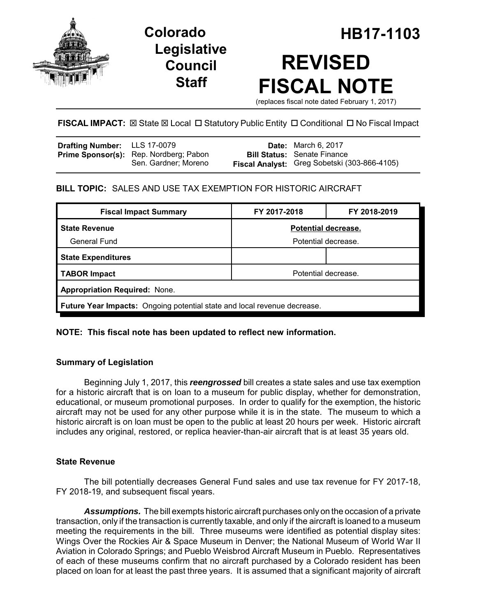

**Legislative Council Staff**

# **Colorado HB17-1103 REVISED FISCAL NOTE**

(replaces fiscal note dated February 1, 2017)

# **FISCAL IMPACT:** ⊠ State ⊠ Local □ Statutory Public Entity □ Conditional □ No Fiscal Impact

| <b>Drafting Number:</b> LLS 17-0079 |                                                                       | <b>Date:</b> March 6, 2017                                                         |
|-------------------------------------|-----------------------------------------------------------------------|------------------------------------------------------------------------------------|
|                                     | <b>Prime Sponsor(s):</b> Rep. Nordberg; Pabon<br>Sen. Gardner: Moreno | <b>Bill Status:</b> Senate Finance<br>Fiscal Analyst: Greg Sobetski (303-866-4105) |
|                                     |                                                                       |                                                                                    |

# **BILL TOPIC:** SALES AND USE TAX EXEMPTION FOR HISTORIC AIRCRAFT

| <b>Fiscal Impact Summary</b>                                                    | FY 2017-2018        | FY 2018-2019 |  |
|---------------------------------------------------------------------------------|---------------------|--------------|--|
| <b>State Revenue</b>                                                            | Potential decrease. |              |  |
| General Fund                                                                    | Potential decrease. |              |  |
| <b>State Expenditures</b>                                                       |                     |              |  |
| <b>TABOR Impact</b>                                                             | Potential decrease. |              |  |
| <b>Appropriation Required: None.</b>                                            |                     |              |  |
| <b>Future Year Impacts:</b> Ongoing potential state and local revenue decrease. |                     |              |  |

# **NOTE: This fiscal note has been updated to reflect new information.**

# **Summary of Legislation**

Beginning July 1, 2017, this *reengrossed* bill creates a state sales and use tax exemption for a historic aircraft that is on loan to a museum for public display, whether for demonstration, educational, or museum promotional purposes. In order to qualify for the exemption, the historic aircraft may not be used for any other purpose while it is in the state. The museum to which a historic aircraft is on loan must be open to the public at least 20 hours per week. Historic aircraft includes any original, restored, or replica heavier-than-air aircraft that is at least 35 years old.

# **State Revenue**

The bill potentially decreases General Fund sales and use tax revenue for FY 2017-18, FY 2018-19, and subsequent fiscal years.

*Assumptions.* The bill exempts historic aircraft purchases only on the occasion of a private transaction, only if the transaction is currently taxable, and only if the aircraft is loaned to a museum meeting the requirements in the bill. Three museums were identified as potential display sites: Wings Over the Rockies Air & Space Museum in Denver; the National Museum of World War II Aviation in Colorado Springs; and Pueblo Weisbrod Aircraft Museum in Pueblo. Representatives of each of these museums confirm that no aircraft purchased by a Colorado resident has been placed on loan for at least the past three years. It is assumed that a significant majority of aircraft